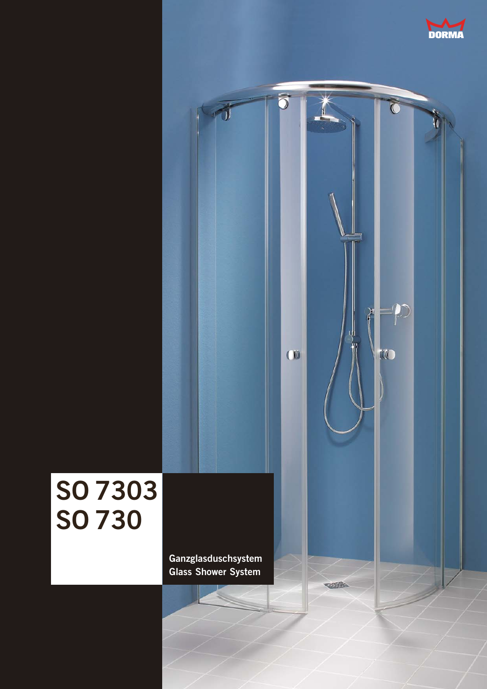

## う  $\overline{C}$  $\mathcal{D}% _{M_{1},M_{2}}^{\alpha,\beta}(\varepsilon)=\mathcal{D}_{M_{1},M_{2}}^{\alpha,\beta}(\varepsilon)$  $\left\langle \right\rangle$ ╣  $\omega$ TO **SO 7303 SO 730Ganzglasduschsystem Glass Shower System Office**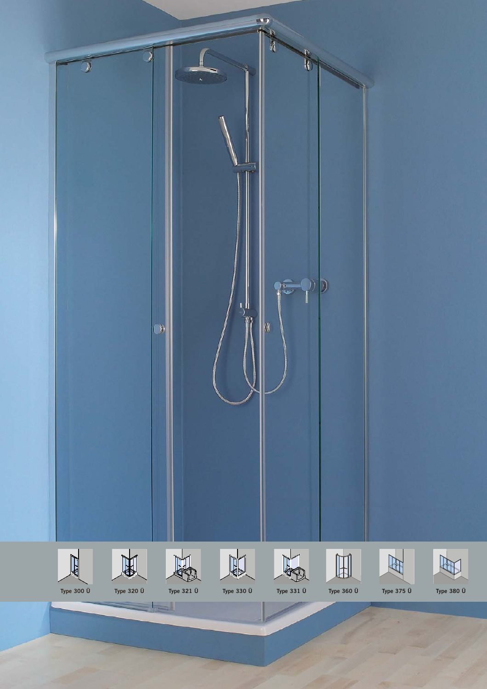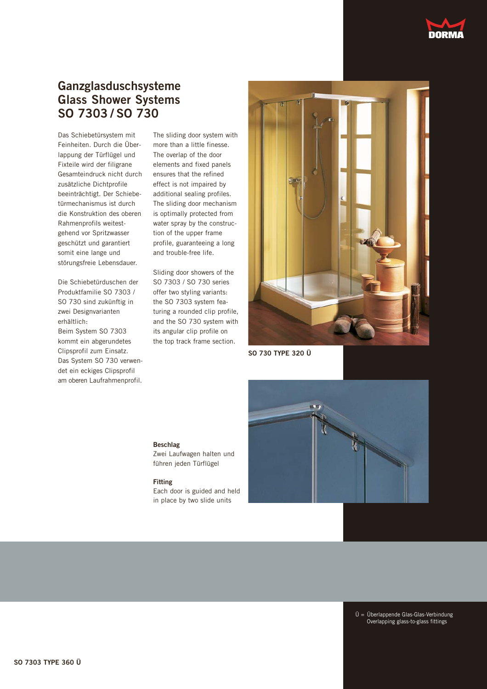## **Ganzglasduschsysteme Glass Shower Systems SO 7303 / SO 730**

Das Schiebetürsystem mit Feinheiten. Durch die Überlappung der Türflügel und Fixteile wird der filigrane Gesamteindruck nicht durch zusätzliche Dichtprofile beeinträchtigt. Der Schiebetürmechanismus ist durch die Konstruktion des oberen Rahmenprofils weitestgehend vor Spritzwasser geschützt und garantiert somit eine lange und störungsfreie Lebensdauer.

Die Schiebetürduschen der Produktfamilie SO 7303 / SO 730 sind zukünftig in zwei Designvarianten erhältlich: Beim System SO 7303 kommt ein abgerundetes Clipsprofil zum Einsatz. Das System SO 730 verwendet ein eckiges Clipsprofil am oberen Laufrahmenprofil.

The sliding door system with more than a little finesse. The overlap of the door elements and fixed panels ensures that the refined effect is not impaired by additional sealing profiles. The sliding door mechanism is optimally protected from water spray by the construction of the upper frame profile, guaranteeing a long and trouble-free life.

Sliding door showers of the SO 7303 / SO 730 series offer two styling variants: the SO 7303 system featuring a rounded clip profile, and the SO 730 system with its angular clip profile on the top track frame section.



**SO 730 TYPE 320 Ü**



**Beschlag**

Zwei Laufwagen halten und führen jeden Türflügel

## **Fitting**

Each door is guided and held in place by two slide units

> Ü = Überlappende Glas-Glas-Verbindung Overlapping glass-to-glass fittings